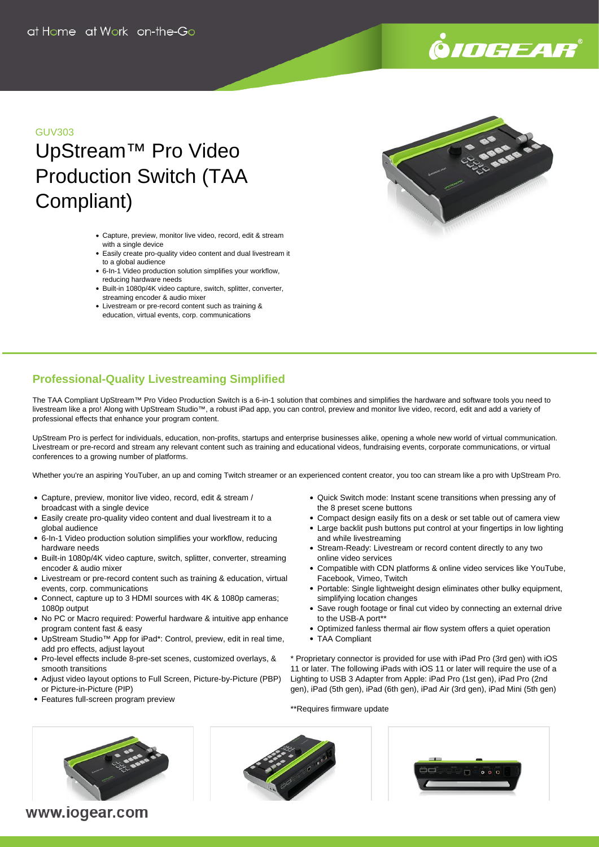# .<br>©*IOGEAR*®

#### GUV303

## UpStream™ Pro Video Production Switch (TAA Compliant)

- Capture, preview, monitor live video, record, edit & stream with a single device
- Easily create pro-quality video content and dual livestream it to a global audience
- 6-In-1 Video production solution simplifies your workflow, reducing hardware needs
- Built-in 1080p/4K video capture, switch, splitter, converter, streaming encoder & audio mixer
- Livestream or pre-record content such as training & education, virtual events, corp. communications



### **Professional-Quality Livestreaming Simplified**

The TAA Compliant UpStream™ Pro Video Production Switch is a 6-in-1 solution that combines and simplifies the hardware and software tools you need to livestream like a pro! Along with UpStream Studio™, a robust iPad app, you can control, preview and monitor live video, record, edit and add a variety of professional effects that enhance your program content.

UpStream Pro is perfect for individuals, education, non-profits, startups and enterprise businesses alike, opening a whole new world of virtual communication. Livestream or pre-record and stream any relevant content such as training and educational videos, fundraising events, corporate communications, or virtual conferences to a growing number of platforms.

Whether you're an aspiring YouTuber, an up and coming Twitch streamer or an experienced content creator, you too can stream like a pro with UpStream Pro.

- Capture, preview, monitor live video, record, edit & stream / broadcast with a single device
- Easily create pro-quality video content and dual livestream it to a global audience
- 6-In-1 Video production solution simplifies your workflow, reducing hardware needs
- Built-in 1080p/4K video capture, switch, splitter, converter, streaming encoder & audio mixer
- Livestream or pre-record content such as training & education, virtual events, corp. communications
- Connect, capture up to 3 HDMI sources with 4K & 1080p cameras; 1080p output
- No PC or Macro required: Powerful hardware & intuitive app enhance program content fast & easy
- UpStream Studio™ App for iPad\*: Control, preview, edit in real time, add pro effects, adjust layout
- Pro-level effects include 8-pre-set scenes, customized overlays, & smooth transitions
- Adjust video layout options to Full Screen, Picture-by-Picture (PBP) or Picture-in-Picture (PIP)
- Features full-screen program preview
- Quick Switch mode: Instant scene transitions when pressing any of the 8 preset scene buttons
- Compact design easily fits on a desk or set table out of camera view
- Large backlit push buttons put control at your fingertips in low lighting and while livestreaming
- Stream-Ready: Livestream or record content directly to any two online video services
- Compatible with CDN platforms & online video services like YouTube, Facebook, Vimeo, Twitch
- Portable: Single lightweight design eliminates other bulky equipment, simplifying location changes
- Save rough footage or final cut video by connecting an external drive to the USB-A port\*\*
- Optimized fanless thermal air flow system offers a quiet operation TAA Compliant
- 

\* Proprietary connector is provided for use with iPad Pro (3rd gen) with iOS 11 or later. The following iPads with iOS 11 or later will require the use of a Lighting to USB 3 Adapter from Apple: iPad Pro (1st gen), iPad Pro (2nd gen), iPad (5th gen), iPad (6th gen), iPad Air (3rd gen), iPad Mini (5th gen)

\*\*Requires firmware update



www.iogear.com



| п | $= 0.00$ |  |
|---|----------|--|
|   |          |  |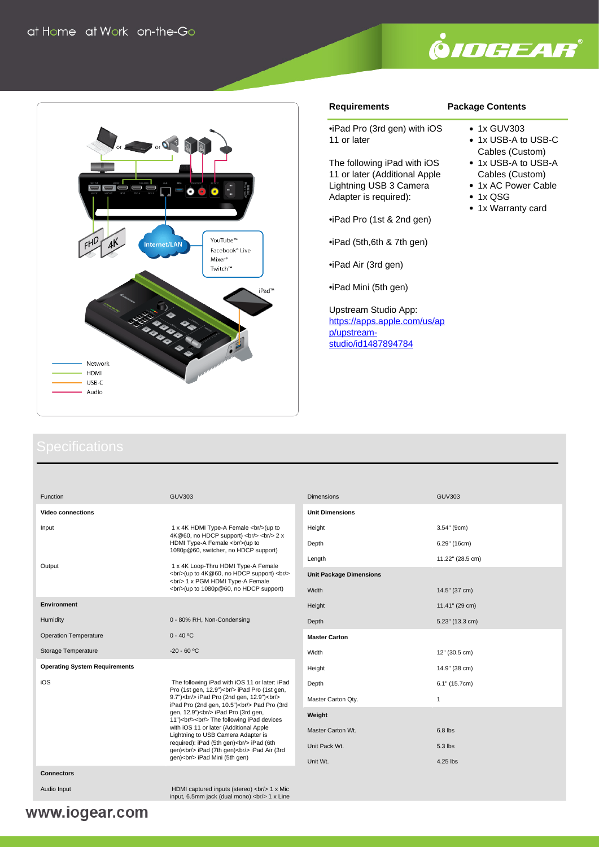



#### **Requirements**

#### **Package Contents**

•iPad Pro (3rd gen) with iOS 11 or later

The following iPad with iOS 11 or later (Additional Apple Lightning USB 3 Camera Adapter is required):

•iPad Pro (1st & 2nd gen)

•iPad (5th,6th & 7th gen)

•iPad Air (3rd gen)

•iPad Mini (5th gen)

Upstream Studio App: [https://apps.apple.com/us/ap](https://apps.apple.com/us/app/upstream-studio/id1487894784) [p/upstream](https://apps.apple.com/us/app/upstream-studio/id1487894784)[studio/id1487894784](https://apps.apple.com/us/app/upstream-studio/id1487894784)

#### • 1x GUV303 • 1x USB-A to USB-C

- Cables (Custom)
- 1x USB-A to USB-A Cables (Custom)
- 1x AC Power Cable
- $\cdot$  1x QSG
- 1x Warranty card

| Function                             | GUV303                                                                                                                                            |
|--------------------------------------|---------------------------------------------------------------------------------------------------------------------------------------------------|
| <b>Video connections</b>             |                                                                                                                                                   |
| Input                                | 1 x 4K HDMI Type-A Female<br>chr/>(up to<br>4K@60, no HDCP support)<br><br><br>br/>> 2 x<br>                                                      |
| Output                               | 1 x 4K Loop-Thru HDMI Type-A Female<br><br>br/>(up to 4K@60, no HDCP support)<br><br>br/><br><br>br/> 1 x PGM HDMI Type-A Female<br>              |
| <b>Environment</b>                   |                                                                                                                                                   |
| Humidity                             | 0 - 80% RH, Non-Condensing                                                                                                                        |
| <b>Operation Temperature</b>         | $0 - 40 °C$                                                                                                                                       |
| Storage Temperature                  | $-20 - 60 °C$                                                                                                                                     |
| <b>Operating System Requirements</b> |                                                                                                                                                   |
| iOS                                  | The following iPad with iOS 11 or later: iPad<br>Pro (1st gen, 12.9")<br>>br/> iPad Pro (1st gen,<br>9.7")<br>cbr/> iPad Pro (2nd gen, 12.9")<br> |
| <b>Connectors</b>                    |                                                                                                                                                   |
| Audio Input                          | HDMI captured inputs (stereo)<br><br>br/>> 1 x Mic                                                                                                |

| <b>Dimensions</b>              | <b>GUV303</b>    |
|--------------------------------|------------------|
| <b>Unit Dimensions</b>         |                  |
| Height                         | 3.54" (9cm)      |
| Depth                          | 6.29" (16cm)     |
| Length                         | 11.22" (28.5 cm) |
| <b>Unit Package Dimensions</b> |                  |
| Width                          | 14.5" (37 cm)    |
| Height                         | 11.41" (29 cm)   |
| Depth                          | 5.23" (13.3 cm)  |
| <b>Master Carton</b>           |                  |
| Width                          | 12" (30.5 cm)    |
| Height                         | 14.9" (38 cm)    |
| Depth                          | 6.1" (15.7cm)    |
| Master Carton Qty.             | 1                |
| Weight                         |                  |
| Master Carton Wt.              | 6.8 lbs          |
| Unit Pack Wt.                  | 5.3 lbs          |
| Unit Wt.                       | 4.25 lbs         |

input, 6.5mm jack (dual mono)  $\langle b r / b \rangle$  1 x Line www.iogear.com